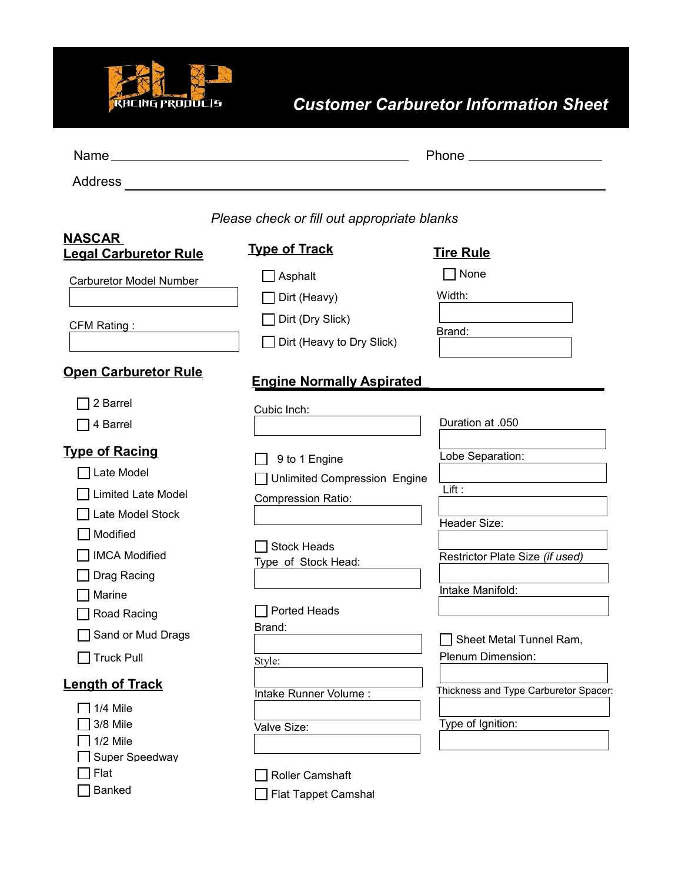

## *Customer Carburetor Information Sheet*

| Name_                                         |                                                                                           |                                              |  |
|-----------------------------------------------|-------------------------------------------------------------------------------------------|----------------------------------------------|--|
| Address                                       | the control of the control of the control of the control of the control of the control of |                                              |  |
|                                               | Please check or fill out appropriate blanks                                               |                                              |  |
| <b>NASCAR</b><br><b>Legal Carburetor Rule</b> | <b>Type of Track</b>                                                                      | <b>Tire Rule</b>                             |  |
| <b>Carburetor Model Number</b>                | $\Box$ Asphalt                                                                            | $\Box$ None                                  |  |
|                                               | Dirt (Heavy)                                                                              | Width:                                       |  |
| CFM Rating:                                   | Dirt (Dry Slick)                                                                          |                                              |  |
|                                               | Dirt (Heavy to Dry Slick)                                                                 | Brand:                                       |  |
| <b>Open Carburetor Rule</b>                   | <b>Engine Normally Aspirated</b>                                                          |                                              |  |
| 2 Barrel                                      |                                                                                           |                                              |  |
| 4 Barrel                                      | Cubic Inch:                                                                               | Duration at .050                             |  |
|                                               |                                                                                           |                                              |  |
| <b>Type of Racing</b>                         | 9 to 1 Engine                                                                             | Lobe Separation:                             |  |
| Late Model                                    | Unlimited Compression Engine                                                              |                                              |  |
| <b>Limited Late Model</b>                     | Compression Ratio:                                                                        | Lift:                                        |  |
| Late Model Stock                              |                                                                                           | Header Size:                                 |  |
| Modified                                      |                                                                                           |                                              |  |
| <b>IMCA Modified</b>                          | <b>Stock Heads</b>                                                                        | Restrictor Plate Size (if used)              |  |
| Drag Racing                                   | Type of Stock Head:                                                                       |                                              |  |
| Marine                                        |                                                                                           | Intake Manifold:                             |  |
| Road Racing                                   | Ported Heads                                                                              |                                              |  |
| Sand or Mud Drags                             | Brand:                                                                                    |                                              |  |
| Truck Pull                                    |                                                                                           | Sheet Metal Tunnel Ram,<br>Plenum Dimension: |  |
|                                               | Style:                                                                                    |                                              |  |
| <b>Length of Track</b>                        | Intake Runner Volume:                                                                     | Thickness and Type Carburetor Spacer:        |  |
| $\overline{\phantom{a}}$ 1/4 Mile             |                                                                                           |                                              |  |
| 3/8 Mile                                      | Valve Size:                                                                               | Type of Ignition:                            |  |
| 1/2 Mile                                      |                                                                                           |                                              |  |
| Super Speedway                                |                                                                                           |                                              |  |
| Flat<br>Banked                                | <b>Roller Camshaft</b>                                                                    |                                              |  |
|                                               | ヿ Flat Tannet Camshal                                                                     |                                              |  |

 $\Box$  Flat Tappet Camshat